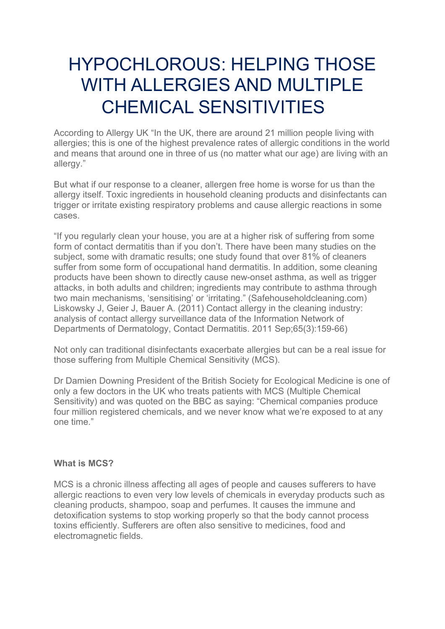## HYPOCHLOROUS: HELPING THOSE WITH ALLERGIES AND MULTIPLE CHEMICAL SENSITIVITIES

According to Allergy UK "In the UK, there are around 21 million people living with allergies; this is one of the highest prevalence rates of allergic conditions in the world and means that around one in three of us (no matter what our age) are living with an allergy."

But what if our response to a cleaner, allergen free home is worse for us than the allergy itself. Toxic ingredients in household cleaning products and disinfectants can trigger or irritate existing respiratory problems and cause allergic reactions in some cases.

"If you regularly clean your house, you are at a higher risk of suffering from some form of contact dermatitis than if you don't. There have been many studies on the subject, some with dramatic results; one study found that over 81% of cleaners suffer from some form of occupational hand dermatitis. In addition, some cleaning products have been shown to directly cause new-onset asthma, as well as trigger attacks, in both adults and children; ingredients may contribute to asthma through two main mechanisms, 'sensitising' or 'irritating." (Safehouseholdcleaning.com) Liskowsky J, Geier J, Bauer A. (2011) Contact allergy in the cleaning industry: analysis of contact allergy surveillance data of the Information Network of Departments of Dermatology, Contact Dermatitis. 2011 Sep;65(3):159-66)

Not only can traditional disinfectants exacerbate allergies but can be a real issue for those suffering from Multiple Chemical Sensitivity (MCS).

Dr Damien Downing President of the British Society for Ecological Medicine is one of only a few doctors in the UK who treats patients with MCS (Multiple Chemical Sensitivity) and was quoted on the BBC as saying: "Chemical companies produce four million registered chemicals, and we never know what we're exposed to at any one time."

## **What is MCS?**

MCS is a chronic illness affecting all ages of people and causes sufferers to have allergic reactions to even very low levels of chemicals in everyday products such as cleaning products, shampoo, soap and perfumes. It causes the immune and detoxification systems to stop working properly so that the body cannot process toxins efficiently. Sufferers are often also sensitive to medicines, food and electromagnetic fields.